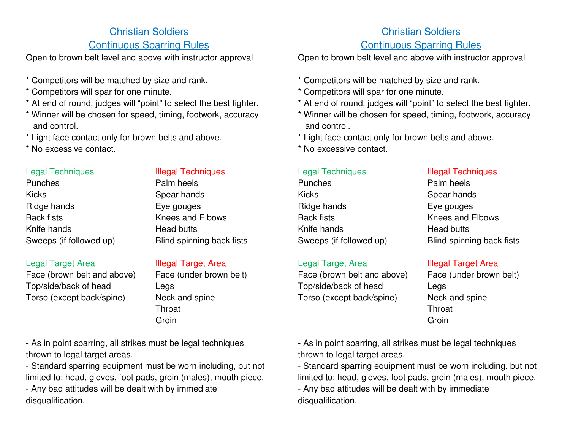# Christian Soldiers

# Continuous Sparring Rules

Open to brown belt level and above with instructor approval

- \* Competitors will be matched by size and rank.
- \* Competitors will spar for one minute.
- \* At end of round, judges will "point" to select the best fighter.
- \* Winner will be chosen for speed, timing, footwork, accuracy and control.
- \* Light face contact only for brown belts and above.
- \* No excessive contact.

### Legal Techniques

**Punches** Kicks Spear hands Ridge hands **Back fists** Knife hands Sweeps (if followed up)

## Legal Target Area

Face (brown belt and above) Top/side/back of head Legs Torso (except back/spine) Neck and spine

## Illegal Techniques

| Palm heels                |
|---------------------------|
| Spear hands               |
| Eye gouges                |
| Knees and Elbows          |
| <b>Head butts</b>         |
| Blind spinning back fists |

**Illegal Target Area<br>Face (under brown belt)**  Throat Groin

- As in point sparring, all strikes must be legal techniques thrown to legal target areas.

- Standard sparring equipment must be worn including, but not limited to: head, gloves, foot pads, groin (males), mouth piece.

- Any bad attitudes will be dealt with by immediatedisqualification.

# Christian Soldiers

## Continuous Sparring Rules

Open to brown belt level and above with instructor approval

- \* Competitors will be matched by size and rank.
- \* Competitors will spar for one minute.
- \* At end of round, judges will "point" to select the best fighter.
- \* Winner will be chosen for speed, timing, footwork, accuracy and control.
- \* Light face contact only for brown belts and above.
- \* No excessive contact.

#### Legal Techniques

| Punches                 |  |
|-------------------------|--|
| Kicks                   |  |
| Ridge hands             |  |
| Back fists              |  |
| Knife hands             |  |
| Sweeps (if followed up) |  |

### Legal Target Area

Face (brown belt and above) Top/side/back of head Legs Torso (except back/spine) Neck and spine

#### Illegal Techniques

Palm heels Spear hands Eye gouges Knees and Elbows Head butts Blind spinning back fists

Illegal Target Area<br>Face (under brown belt) **Throat Groin** 

- As in point sparring, all strikes must be legal techniques thrown to legal target areas.

- Standard sparring equipment must be worn including, but not limited to: head, gloves, foot pads, groin (males), mouth piece.

- Any bad attitudes will be dealt with by immediatedisqualification.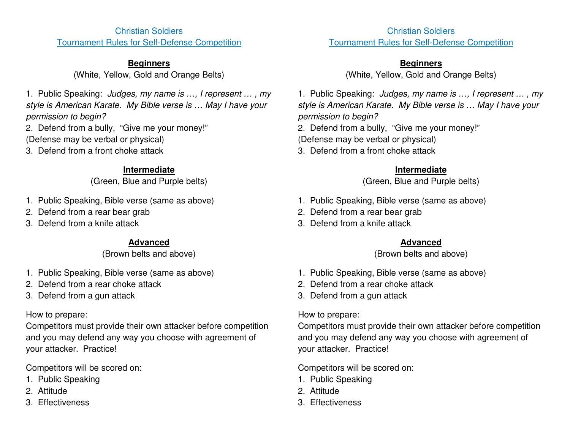### Christian Soldiers Tournament Rules for Self-Defense Competition

## **Beginners**

(White, Yellow, Gold and Orange Belts)

1. Public Speaking: Judges, my name is …, I represent … , my style is American Karate. My Bible verse is … May I have your permission to begin?

2. Defend from a bully, "Give me your money!" (Defense may be verbal or physical)

3. Defend from a front choke attack

# **Intermediate**

(Green, Blue and Purple belts)

- 1. Public Speaking, Bible verse (same as above)
- 2. Defend from a rear bear grab
- 3. Defend from a knife attack

# **Advanced**

(Brown belts and above)

- 1. Public Speaking, Bible verse (same as above)
- 2. Defend from a rear choke attack
- 3. Defend from a gun attack

# How to prepare:

Competitors must provide their own attacker before competition and you may defend any way you choose with agreement of your attacker. Practice!

Competitors will be scored on:

- 1. Public Speaking
- 2. Attitude
- 3. Effectiveness

Christian Soldiers Tournament Rules for Self-Defense Competition

# **Beginners**

(White, Yellow, Gold and Orange Belts)

1. Public Speaking: Judges, my name is …, I represent … , my style is American Karate. My Bible verse is … May I have your permission to begin?

2. Defend from a bully, "Give me your money!"

(Defense may be verbal or physical)

3. Defend from a front choke attack

# **Intermediate**

(Green, Blue and Purple belts)

- 1. Public Speaking, Bible verse (same as above)
- 2. Defend from a rear bear grab
- 3. Defend from a knife attack

# **Advanced**

(Brown belts and above)

- 1. Public Speaking, Bible verse (same as above)
- 2. Defend from a rear choke attack
- 3. Defend from a gun attack

How to prepare:

Competitors must provide their own attacker before competition and you may defend any way you choose with agreement of your attacker. Practice!

Competitors will be scored on:

- 1. Public Speaking
- 2. Attitude
- 3. Effectiveness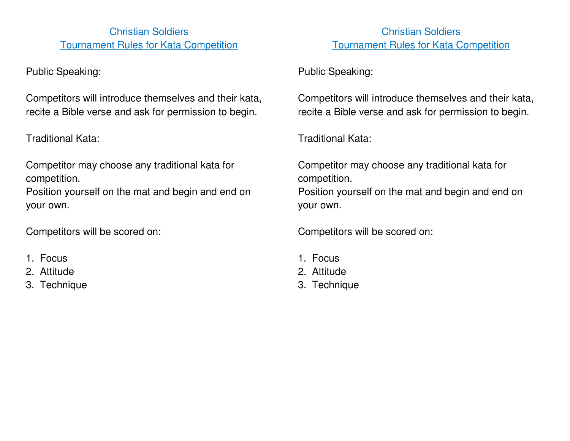Christian Soldiers Tournament Rules for Kata Competition

Public Speaking:

Competitors will introduce themselves and their kata, recite a Bible verse and ask for permission to begin.

Traditional Kata:

Competitor may choose any traditional kata for competition.

Position yourself on the mat and begin and end on your own.

Competitors will be scored on:

- 1. Focus
- 2. Attitude
- 3. Technique

Christian Soldiers Tournament Rules for Kata Competition

Public Speaking:

Competitors will introduce themselves and their kata, recite a Bible verse and ask for permission to begin.

Traditional Kata:

Competitor may choose any traditional kata for competition. Position yourself on the mat and begin and end on your own.

Competitors will be scored on:

- 1. Focus
- 2. Attitude
- 3. Technique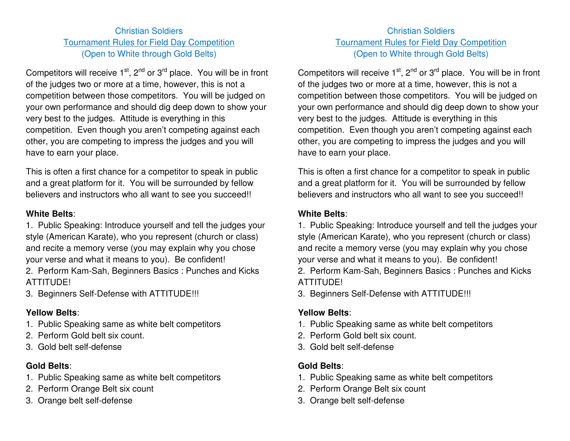## Christian Soldiers Tournament Rules for Field Day Competition (Open to White through Gold Belts)

Competitors will receive  $1<sup>st</sup>$ ,  $2<sup>nd</sup>$  or  $3<sup>rd</sup>$  place. You will be in front of the judges two or more at a time, however, this is not a competition between those competitors. You will be judged on your own performance and should dig deep down to show your very best to the judges. Attitude is everything in this competition. Even though you aren't competing against each other, you are competing to impress the judges and you will have to earn your place.

This is often a first chance for a competitor to speak in public and a great platform for it. You will be surrounded by fellow believers and instructors who all want to see you succeed!!

#### **White Belts**:

1. Public Speaking: Introduce yourself and tell the judges your style (American Karate), who you represent (church or class) and recite a memory verse (you may explain why you chose your verse and what it means to you). Be confident!

2. Perform Kam-Sah, Beginners Basics : Punches and Kicks ATTITUDE!

3. Beginners Self-Defense with ATTITUDE!!!

## **Yellow Belts**:

- 1. Public Speaking same as white belt competitors
- 2. Perform Gold belt six count.
- 3. Gold belt self-defense

# **Gold Belts**:

- 1. Public Speaking same as white belt competitors
- 2. Perform Orange Belt six count
- 3. Orange belt self-defense

# Christian Soldiers Tournament Rules for Field Day Competition (Open to White through Gold Belts)

Competitors will receive  $1<sup>st</sup>$ ,  $2<sup>nd</sup>$  or  $3<sup>rd</sup>$  place. You will be in front of the judges two or more at a time, however, this is not a competition between those competitors. You will be judged on your own performance and should dig deep down to show your very best to the judges. Attitude is everything in this competition. Even though you aren't competing against each other, you are competing to impress the judges and you will have to earn your place.

This is often a first chance for a competitor to speak in public and a great platform for it. You will be surrounded by fellow believers and instructors who all want to see you succeed!!

## **White Belts**:

1. Public Speaking: Introduce yourself and tell the judges your style (American Karate), who you represent (church or class) and recite a memory verse (you may explain why you chose your verse and what it means to you). Be confident!

2. Perform Kam-Sah, Beginners Basics : Punches and Kicks ATTITUDE!

3. Beginners Self-Defense with ATTITUDE!!!

# **Yellow Belts**:

- 1. Public Speaking same as white belt competitors
- 2. Perform Gold belt six count.
- 3. Gold belt self-defense

# **Gold Belts**:

- 1. Public Speaking same as white belt competitors
- 2. Perform Orange Belt six count
- 3. Orange belt self-defense